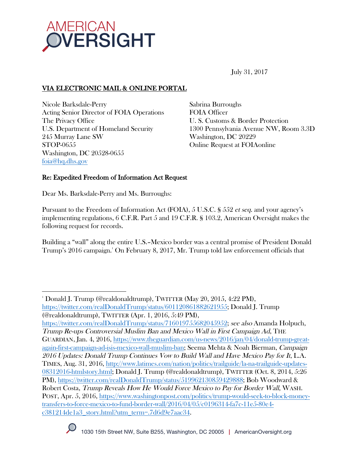

July 31, 2017

# VIA ELECTRONIC MAIL & ONLINE PORTAL

Nicole Barksdale-Perry Acting Senior Director of FOIA Operations The Privacy Office U.S. Department of Homeland Security 245 Murray Lane SW STOP-0655 Washington, DC 20528-0655 foia@hq.dhs.gov

Sabrina Burroughs FOIA Officer U. S. Customs & Border Protection 1300 Pennsylvania Avenue NW, Room 3.3D Washington, DC 20229 Online Request at FOIAonline

## Re: Expedited Freedom of Information Act Request

Dear Ms. Barksdale-Perry and Ms. Burroughs:

Pursuant to the Freedom of Information Act (FOIA), 5 U.S.C. § 552 et seq. and your agency's implementing regulations, 6 C.F.R. Part 5 and 19 C.F.R. § 103.2, American Oversight makes the following request for records.

Building a "wall" along the entire U.S.–Mexico border was a central promise of President Donald Trump's 2016 campaign.1 On February 8, 2017, Mr. Trump told law enforcement officials that

https://twitter.com/realDonaldTrump/status/716019755682045952; see also Amanda Holpuch, Trump Re-ups Controversial Muslim Ban and Mexico Wall in First Campaign Ad, THE GUARDIAN, Jan. 4, 2016, https://www.theguardian.com/us-news/2016/jan/04/donald-trump-greatagain-first-campaign-ad-isis-mexico-wall-muslim-ban; Seema Mehta & Noah Bierman, Campaign 2016 Updates: Donald Trump Continues Vow to Build Wall and Have Mexico Pay for It, L.A. TIMES, Aug. 31, 2016, http://www.latimes.com/nation/politics/trailguide/la-na-trailguide-updates-08312016-htmlstory.html; Donald J. Trump (@realdonaldtrump), TWITTER (Oct. 8, 2014, 5:26 PM), https://twitter.com/realDonaldTrump/status/519962130859429888; Bob Woodward & Robert Costa, Trump Reveals How He Would Force Mexico to Pay for Border Wall, WASH. POST, Apr. 5, 2016, https://www.washingtonpost.com/politics/trump-would-seek-to-block-moneytransfers-to-force-mexico-to-fund-border-wall/2016/04/05/c0196314-fa7c-11e5-80e4 c381214de1a3\_story.html?utm\_term=.7d6d9e7aac34.



 

<sup>1</sup> Donald J. Trump (@realdonaldtrump), TWITTER (May 20, 2015, 4:22 PM), https://twitter.com/realDonaldTrump/status/601120861882621955; Donald J. Trump (@realdonaldtrump), TWITTER (Apr. 1, 2016, 5:49 PM),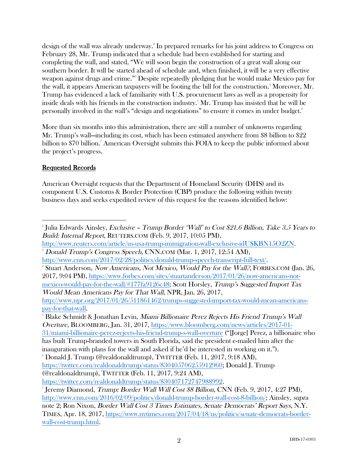design of the wall was already underway. 2 In prepared remarks for his joint address to Congress on February 28, Mr. Trump indicated that a schedule had been established for starting and completing the wall, and stated, "We will soon begin the construction of a great wall along our southern border. It will be started ahead of schedule and, when finished, it will be a very effective weapon against drugs and crime."3 Despite repeatedly pledging that he would make Mexico pay for the wall, it appears American taxpayers will be footing the bill for the construction. $^{\ast}$  Moreover, Mr. Trump has evidenced a lack of familiarity with U.S. procurement laws as well as a propensity for inside deals with his friends in the construction industry. $^{\text{s}}$  Mr. Trump has insisted that he will be personally involved in the wall's "design and negotiations" to ensure it comes in under budget.<sup>6</sup>

More than six months into this administration, there are still a number of unknowns regarding Mr. Trump's wall—including its cost, which has been estimated anywhere from \$8 billion to \$22 billion to \$70 billion. 7 American Oversight submits this FOIA to keep the public informed about the project's progress.

## Requested Records

American Oversight requests that the Department of Homeland Security (DHS) and its component U.S. Customs & Border Protection (CBP) produce the following within twenty business days and seeks expedited review of this request for the reasons identified below:

 $\,$ <sup>5</sup> Blake Schmidt & Jonathan Levin, *Miami Billionaire Perez Rejects His Friend Trump's Wall* Overture, BLOOMBERG, Jan. 31, 2017, https://www.bloomberg.com/news/articles/2017-01- 31/miami-billionaire-perez-rejects-his-friend-trump-s-wall-overture ("[Jorge] Perez, a billionaire who has built Trump-branded towers in South Florida, said the president e-mailed him after the inauguration with plans for the wall and asked if he'd be interested in working on it."). 6

 $\delta$  Donald J. Trump (@realdonaldtrump), TWITTER (Feb. 11, 2017, 9:18 AM), https://twitter.com/realdonaldtrump/status/830405706255912960; Donald J. Trump (@realdonaldtrump), TWITTER (Feb. 11, 2017, 9:24 AM),

https://twitter.com/realdonaldtrump/status/830407172747988992.

  $^{\circ}$ Julia Edwards Ainsley, *Exclusive – Trump Border 'Wall' to Cost \$21.6 Billion, Take 3.5 Years to* Build: Internal Report, REUTERS.COM (Feb. 9, 2017, 10:05 PM),

http://www.reuters.com/article/us-usa-trump-immigration-wall-exclusive-idUSKBN15O2ZN. 3 Donald Trump's Congress Speech, CNN.COM (Mar. 1, 2017, 12:54 AM),

http://www.cnn.com/2017/02/28/politics/donald-trump-speech-transcript-full-text/. 4

Stuart Anderson, Now Americans, Not Mexico, Would Pay for the Wall?, FORBES.COM (Jan. 26, 2017, 9:04 PM), https://www.forbes.com/sites/stuartanderson/2017/01/26/now-americans-notmexico-would-pay-for-the-wall/#177fa9126c48; Scott Horsley, Trump's Suggested Import Tax Would Mean Americans Pay for That Wall, NPR, Jan. 26, 2017,

http://www.npr.org/2017/01/26/511861462/trumps-suggested-import-tax-would-mean-americanspay-for-that-wall. 5

<sup>7</sup> Jeremy Diamond, Trump: Border Wall Will Cost \$8 Billion, CNN (Feb. 9, 2017, 4:27 PM), http://www.cnn.com/2016/02/09/politics/donald-trump-border-wall-cost-8-billion/; Ainsley, supra note 2; Ron Nixon, Border Wall Cost 3 Times Estimates, Senate Democrats' Report Says, N.Y. TIMES, Apr. 18, 2017, https://www.nytimes.com/2017/04/18/us/politics/senate-democrats-borderwall-cost-trump.html.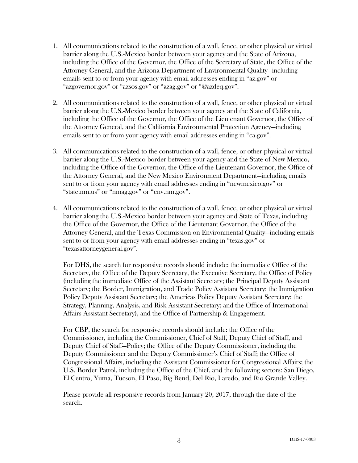- 1. All communications related to the construction of a wall, fence, or other physical or virtual barrier along the U.S.-Mexico border between your agency and the State of Arizona, including the Office of the Governor, the Office of the Secretary of State, the Office of the Attorney General, and the Arizona Department of Environmental Quality—including emails sent to or from your agency with email addresses ending in "az.gov" or "azgovernor.gov" or "azsos.gov" or "azag.gov" or "@azdeq.gov".
- 2. All communications related to the construction of a wall, fence, or other physical or virtual barrier along the U.S.-Mexico border between your agency and the State of California, including the Office of the Governor, the Office of the Lieutenant Governor, the Office of the Attorney General, and the California Environmental Protection Agency—including emails sent to or from your agency with email addresses ending in "ca.gov".
- 3. All communications related to the construction of a wall, fence, or other physical or virtual barrier along the U.S.-Mexico border between your agency and the State of New Mexico, including the Office of the Governor, the Office of the Lieutenant Governor, the Office of the Attorney General, and the New Mexico Environment Department—including emails sent to or from your agency with email addresses ending in "newmexico.gov" or "state.nm.us" or "nmag.gov" or "env.nm.gov".
- 4. All communications related to the construction of a wall, fence, or other physical or virtual barrier along the U.S.-Mexico border between your agency and State of Texas, including the Office of the Governor, the Office of the Lieutenant Governor, the Office of the Attorney General, and the Texas Commission on Environmental Quality—including emails sent to or from your agency with email addresses ending in "texas.gov" or "texasattorneygeneral.gov".

For DHS, the search for responsive records should include: the immediate Office of the Secretary, the Office of the Deputy Secretary, the Executive Secretary, the Office of Policy (including the immediate Office of the Assistant Secretary; the Principal Deputy Assistant Secretary; the Border, Immigration, and Trade Policy Assistant Secretary; the Immigration Policy Deputy Assistant Secretary; the Americas Policy Deputy Assistant Secretary; the Strategy, Planning, Analysis, and Risk Assistant Secretary; and the Office of International Affairs Assistant Secretary), and the Office of Partnership & Engagement.

For CBP, the search for responsive records should include: the Office of the Commissioner, including the Commissioner, Chief of Staff, Deputy Chief of Staff, and Deputy Chief of Staff—Policy; the Office of the Deputy Commissioner, including the Deputy Commissioner and the Deputy Commissioner's Chief of Staff; the Office of Congressional Affairs, including the Assistant Commissioner for Congressional Affairs; the U.S. Border Patrol, including the Office of the Chief, and the following sectors: San Diego, El Centro, Yuma, Tucson, El Paso, Big Bend, Del Rio, Laredo, and Rio Grande Valley.

Please provide all responsive records from January 20, 2017, through the date of the search.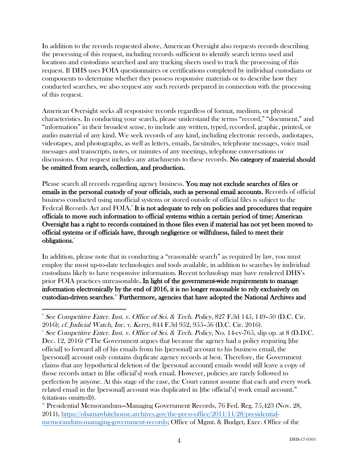In addition to the records requested above, American Oversight also requests records describing the processing of this request, including records sufficient to identify search terms used and locations and custodians searched and any tracking sheets used to track the processing of this request. If DHS uses FOIA questionnaires or certifications completed by individual custodians or components to determine whether they possess responsive materials or to describe how they conducted searches, we also request any such records prepared in connection with the processing of this request.

American Oversight seeks all responsive records regardless of format, medium, or physical characteristics. In conducting your search, please understand the terms "record," "document," and "information" in their broadest sense, to include any written, typed, recorded, graphic, printed, or audio material of any kind. We seek records of any kind, including electronic records, audiotapes, videotapes, and photographs, as well as letters, emails, facsimiles, telephone messages, voice mail messages and transcripts, notes, or minutes of any meetings, telephone conversations or discussions. Our request includes any attachments to these records. No category of material should be omitted from search, collection, and production.

Please search all records regarding agency business. You may not exclude searches of files or emails in the personal custody of your officials, such as personal email accounts. Records of official business conducted using unofficial systems or stored outside of official files is subject to the Federal Records Act and FOIA.<sup>8</sup> It is not adequate to rely on policies and procedures that require officials to move such information to official systems within a certain period of time; American Oversight has a right to records contained in those files even if material has not yet been moved to official systems or if officials have, through negligence or willfulness, failed to meet their obligations.<sup>9</sup>

In addition, please note that in conducting a "reasonable search" as required by law, you must employ the most up-to-date technologies and tools available, in addition to searches by individual custodians likely to have responsive information. Recent technology may have rendered DHS's prior FOIA practices unreasonable. In light of the government-wide requirements to manage information electronically by the end of 2016, it is no longer reasonable to rely exclusively on custodian-driven searches.10 Furthermore, agencies that have adopted the National Archives and

<sup>9</sup> See Competitive Enter. Inst. v. Office of Sci. & Tech. Policy, No. 14-cv-765, slip op. at 8 (D.D.C. Dec. 12, 2016) ("The Government argues that because the agency had a policy requiring [the official] to forward all of his emails from his [personal] account to his business email, the [personal] account only contains duplicate agency records at best. Therefore, the Government claims that any hypothetical deletion of the [personal account] emails would still leave a copy of those records intact in [the official's] work email. However, policies are rarely followed to perfection by anyone. At this stage of the case, the Court cannot assume that each and every work related email in the [personal] account was duplicated in [the official's] work email account." (citations omitted)).

 $10^{\circ}$  Presidential Memorandum—Managing Government Records, 76 Fed. Reg. 75,423 (Nov. 28, 2011), https://obamawhitehouse.archives.gov/the-press-office/2011/11/28/presidentialmemorandum-managing-government-records; Office of Mgmt. & Budget, Exec. Office of the

 8 See Competitive Enter. Inst. v. Office of Sci. & Tech. Policy, 827 F.3d 145, 149–50 (D.C. Cir. 2016); cf. Judicial Watch, Inc. v. Kerry, 844 F.3d 952, 955–56 (D.C. Cir. 2016). 9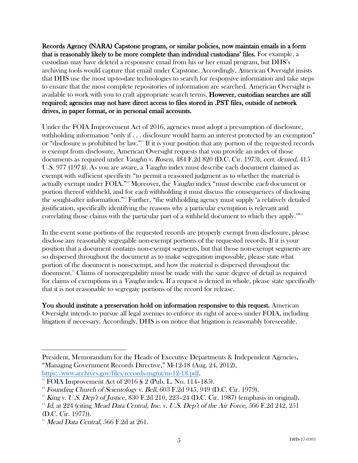Records Agency (NARA) Capstone program, or similar policies, now maintain emails in a form that is reasonably likely to be more complete than individual custodians' files. For example, a custodian may have deleted a responsive email from his or her email program, but DHS's archiving tools would capture that email under Capstone. Accordingly, American Oversight insists that DHS use the most up-to-date technologies to search for responsive information and take steps to ensure that the most complete repositories of information are searched. American Oversight is available to work with you to craft appropriate search terms. However, custodian searches are still required; agencies may not have direct access to files stored in .PST files, outside of network drives, in paper format, or in personal email accounts.

Under the FOIA Improvement Act of 2016, agencies must adopt a presumption of disclosure, withholding information "only if . . . disclosure would harm an interest protected by an exemption" or "disclosure is prohibited by law."11 If it is your position that any portion of the requested records is exempt from disclosure, American Oversight requests that you provide an index of those documents as required under Vaughn v. Rosen, 484 F.2d 820 (D.C. Cir. 1973), cert. denied, 415 U.S. 977 (1974). As you are aware, a *Vaughn* index must describe each document claimed as exempt with sufficient specificity "to permit a reasoned judgment as to whether the material is actually exempt under FOIA."<sup>12</sup> Moreover, the *Vaughn* index "must describe each document or portion thereof withheld, and for each withholding it must discuss the consequences of disclosing the sought-after information."13 Further, "the withholding agency must supply 'a relatively detailed justification, specifically identifying the reasons why a particular exemption is relevant and correlating those claims with the particular part of a withheld document to which they apply.'"14

In the event some portions of the requested records are properly exempt from disclosure, please disclose any reasonably segregable non-exempt portions of the requested records. If it is your position that a document contains non-exempt segments, but that those non-exempt segments are so dispersed throughout the document as to make segregation impossible, please state what portion of the document is non-exempt, and how the material is dispersed throughout the document.15 Claims of nonsegregability must be made with the same degree of detail as required for claims of exemptions in a *Vaughn* index. If a request is denied in whole, please state specifically that it is not reasonable to segregate portions of the record for release.

You should institute a preservation hold on information responsive to this request. American Oversight intends to pursue all legal avenues to enforce its right of access under FOIA, including litigation if necessary. Accordingly, DHS is on notice that litigation is reasonably foreseeable.

 

President, Memorandum for the Heads of Executive Departments & Independent Agencies, "Managing Government Records Directive," M-12-18 (Aug. 24, 2012), https://www.archives.gov/files/records-mgmt/m-12-18.pdf.<br>" FOIA Improvement Act of 2016 § 2 (Pub. L. No. 114–185).

 $12$  Founding Church of Scientology v. Bell, 603 F.2d 945, 949 (D.C. Cir. 1979).

<sup>&</sup>lt;sup>13</sup> King v. U.S. Dep't of Justice, 830 F.2d 210, 223–24 (D.C. Cir. 1987) (emphasis in original).

 $14$  Id. at 224 (citing Mead Data Central, Inc. v. U.S. Dep't of the Air Force, 566 F.2d 242, 251 (D.C. Cir. 1977)).

 $15$  Mead Data Central, 566 F.2d at 261.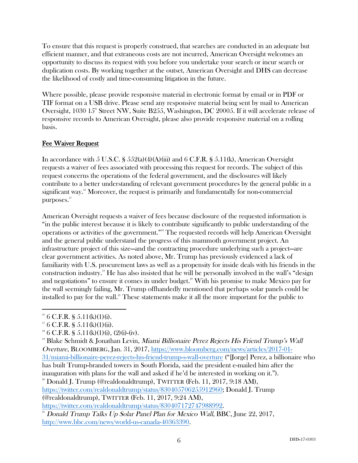To ensure that this request is properly construed, that searches are conducted in an adequate but efficient manner, and that extraneous costs are not incurred, American Oversight welcomes an opportunity to discuss its request with you before you undertake your search or incur search or duplication costs. By working together at the outset, American Oversight and DHS can decrease the likelihood of costly and time-consuming litigation in the future.

Where possible, please provide responsive material in electronic format by email or in PDF or TIF format on a USB drive. Please send any responsive material being sent by mail to American Oversight, 1030  $15^{\circ}$  Street NW, Suite B255, Washington, DC 20005. If it will accelerate release of responsive records to American Oversight, please also provide responsive material on a rolling basis.

## Fee Waiver Request

In accordance with 5 U.S.C. §  $552(a)(4)(A)(iii)$  and 6 C.F.R. §  $5.11(k)$ , American Oversight requests a waiver of fees associated with processing this request for records. The subject of this request concerns the operations of the federal government, and the disclosures will likely contribute to a better understanding of relevant government procedures by the general public in a significant way.<sup>16</sup> Moreover, the request is primarily and fundamentally for non-commercial purposes.17

American Oversight requests a waiver of fees because disclosure of the requested information is "in the public interest because it is likely to contribute significantly to public understanding of the operations or activities of the government."<sup>8</sup> The requested records will help American Oversight and the general public understand the progress of this mammoth government project. An infrastructure project of this size—and the contracting procedure underlying such a project—are clear government activities. As noted above, Mr. Trump has previously evidenced a lack of familiarity with U.S. procurement laws as well as a propensity for inside deals with his friends in the construction industry.19 He has also insisted that he will be personally involved in the wall's "design and negotiations" to ensure it comes in under budget.<sup>20</sup> With his promise to make Mexico pay for the wall seemingly failing, Mr. Trump offhandedly mentioned that perhaps solar panels could be installed to pay for the wall.<sup>21</sup> These statements make it all the more important for the public to

 $^{20}$  Donald J. Trump (@realdonaldtrump), TWITTER (Feb. 11, 2017, 9:18 AM), https://twitter.com/realdonaldtrump/status/830405706255912960; Donald J. Trump (@realdonaldtrump), TWITTER (Feb. 11, 2017, 9:24 AM),

  $16$  6 C.F.R. § 5.11(k)(1)(i).

 $17 \text{ } 6 \text{ } C.F.R. \text{ }$  § 5.11(k)(1)(ii).

 $18 \text{ } 6 \text{ } C.F.R. \text{ } S \text{ } 5.11(k)(1)(i), (2)(i)-(iv).$ 

<sup>&</sup>lt;sup>19</sup> Blake Schmidt & Jonathan Levin, *Miami Billionaire Perez Rejects His Friend Trump's Wall* Overture, BLOOMBERG, Jan. 31, 2017, https://www.bloomberg.com/news/articles/2017-01- 31/miami-billionaire-perez-rejects-his-friend-trump-s-wall-overture ("[Jorge] Perez, a billionaire who has built Trump-branded towers in South Florida, said the president e-mailed him after the inauguration with plans for the wall and asked if he'd be interested in working on it.").

https://twitter.com/realdonaldtrump/status/830407172747988992.

 $21$  Donald Trump Talks Up Solar Panel Plan for Mexico Wall, BBC, June 22, 2017, http://www.bbc.com/news/world-us-canada-40363390.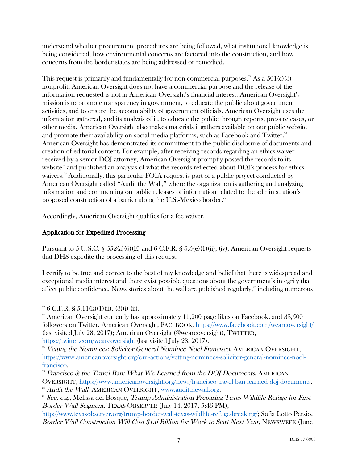understand whether procurement procedures are being followed, what institutional knowledge is being considered, how environmental concerns are factored into the construction, and how concerns from the border states are being addressed or remedied.

This request is primarily and fundamentally for non-commercial purposes.<sup>22</sup> As a  $501(c)(3)$ nonprofit, American Oversight does not have a commercial purpose and the release of the information requested is not in American Oversight's financial interest. American Oversight's mission is to promote transparency in government, to educate the public about government activities, and to ensure the accountability of government officials. American Oversight uses the information gathered, and its analysis of it, to educate the public through reports, press releases, or other media. American Oversight also makes materials it gathers available on our public website and promote their availability on social media platforms, such as Facebook and Twitter.<sup>23</sup> American Oversight has demonstrated its commitment to the public disclosure of documents and creation of editorial content. For example, after receiving records regarding an ethics waiver received by a senior DOJ attorney, American Oversight promptly posted the records to its website<sup>24</sup> and published an analysis of what the records reflected about  $\text{DO}I$ 's process for ethics waivers.<sup>25</sup> Additionally, this particular FOIA request is part of a public project conducted by American Oversight called "Audit the Wall," where the organization is gathering and analyzing information and commenting on public releases of information related to the administration's proposed construction of a barrier along the U.S.-Mexico border. 26

Accordingly, American Oversight qualifies for a fee waiver.

# Application for Expedited Processing

Pursuant to 5 U.S.C. § 552(a)(6)(E) and 6 C.F.R. § 5.5(e)(1)(ii), (iv), American Oversight requests that DHS expedite the processing of this request.

I certify to be true and correct to the best of my knowledge and belief that there is widespread and exceptional media interest and there exist possible questions about the government's integrity that affect public confidence. News stories about the wall are published regularly, $\overline{a}$  including numerous

```
https://twitter.com/weareoversight (last visited July 28, 2017).
```
  $2^2$  6 C.F.R. § 5.11(k)(1)(ii), (3)(i)-(ii).

 $23$  American Oversight currently has approximately 11,200 page likes on Facebook, and 33,500 followers on Twitter. American Oversight, FACEBOOK, https://www.facebook.com/weareoversight/ (last visited July 28, 2017); American Oversight (@weareoversight), TWITTER,

<sup>&</sup>lt;sup>24</sup> Vetting the Nominees: Solicitor General Nominee Noel Francisco, AMERICAN OVERSIGHT, https://www.americanoversight.org/our-actions/vetting-nominees-solicitor-general-nominee-noelfrancisco.

 $25$  Francisco & the Travel Ban: What We Learned from the DOJ Documents, AMERICAN OVERSIGHT, <u>https://www.americanoversight.org/news/francisco-travel-ban-learned-doj-documents</u>.<br><sup>26</sup> Audit the Wall, AMERICAN OVERSIGHT, <u>www.auditthewall.org</u>.<br><sup>27</sup> See, e.g., Melissa del Bosque, *Trump Administration Pre* 

Border Wall Segment, TEXAS OBSERVER (July 14, 2017, 5:46 PM),

http://www.texasobserver.org/trump-border-wall-texas-wildlife-refuge-breaking/; Sofia Lotto Persio, Border Wall Construction Will Cost \$1.6 Billion for Work to Start Next Year, NEWSWEEK (June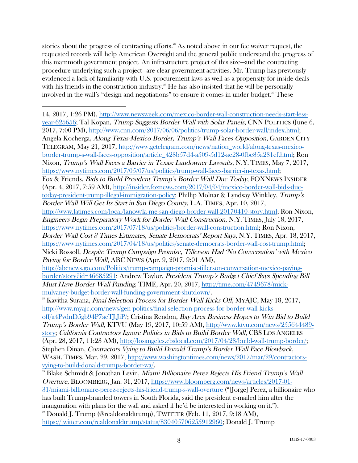stories about the progress of contracting efforts.<sup>28</sup> As noted above in our fee waiver request, the requested records will help American Oversight and the general public understand the progress of this mammoth government project. An infrastructure project of this size—and the contracting procedure underlying such a project—are clear government activities. Mr. Trump has previously evidenced a lack of familiarity with U.S. procurement laws as well as a propensity for inside deals with his friends in the construction industry.<sup>29</sup> He has also insisted that he will be personally involved in the wall's "design and negotiations" to ensure it comes in under budget.<sup>30</sup> These

inauguration with plans for the wall and asked if he'd be interested in working on it."). <sup>30</sup> Donald J. Trump (@realdonaldtrump), TWITTER (Feb. 11, 2017, 9:18 AM),

https://twitter.com/realdonaldtrump/status/830405706255912960; Donald J. Trump

 14, 2017, 1:26 PM), http://www.newsweek.com/mexico-border-wall-construction-needs-start-lessyear-625656; Tal Kopan, Trump Suggests Border Wall with Solar Panels, CNN POLITICS (June 6, 2017, 7:00 PM), http://www.cnn.com/2017/06/06/politics/trump-solar-border-wall/index.html; Angela Kocherga, Along Texas-Mexico Border, Trump's Wall Faces Opposition, GARDEN CITY TELEGRAM, May 21, 2017, http://www.gctelegram.com/news/nation\_world/along-texas-mexicoborder-trump-s-wall-faces-opposition/article\_428b57d4-a509-5d12-ae28-0fbe85a281ef.html; Ron Nixon, Trump's Wall Faces a Barrier in Texas: Landowner Lawsuits, N.Y. TIMES, May 7, 2017, https://www.nytimes.com/2017/05/07/us/politics/trump-wall-faces-barrier-in-texas.html; Fox & Friends, Bids to Build President Trump's Border Wall Due Today, FOXNEWS INSIDER (Apr. 4, 2017, 7:59 AM), http://insider.foxnews.com/2017/04/04/mexico-border-wall-bids-duetoday-president-trump-illegal-immigration-policy; Phillip Molnar & Lyndsay Winkley, Trump's Border Wall Will Get Its Start in San Diego County, L.A. TIMES, Apr. 10, 2017, http://www.latimes.com/local/lanow/la-me-san-diego-border-wall-20170410-story.html; Ron Nixon, Engineers Begin Preparatory Work for Border Wall Construction, N.Y. TIMES, July 18, 2017, https://www.nytimes.com/2017/07/18/us/politics/border-wall-construction.html; Ron Nixon, Border Wall Cost 3 Times Estimates, Senate Democrats' Report Says, N.Y. TIMES, Apr. 18, 2017, https://www.nytimes.com/2017/04/18/us/politics/senate-democrats-border-wall-cost-trump.html; Nicki Rossoll, Despite Trump Campaign Promise, Tillerson Had 'No Conversation' with Mexico Paying for Border Wall, ABC NEWS (Apr. 9, 2017, 9:01 AM), http://abcnews.go.com/Politics/trump-campaign-promise-tillerson-conversation-mexico-payingborder/story?id=46685291; Andrew Taylor, President Trump's Budget Chief Says Spending Bill Must Have Border Wall Funding, TIME, Apr. 20, 2017, http://time.com/4749678/mickmulvaney-budget-border-wall-funding-government-shutdown/.  $^{28}$  Kavitha Surana, *Final Selection Process for Border Wall Kicks Off*, MYAJC, May 18, 2017, http://www.myajc.com/news/gen-politics/final-selection-process-for-border-wall-kicksoff/a4PvdnD5gb94P7acTJiJiP/; Cristina Rendon, Bay Area Business Hopes to Win Bid to Build Trump's Border Wall, KTVU (May 19, 2017, 10:59 AM), http://www.ktvu.com/news/255644489 story; California Contractors Ignore Politics in Bids to Build Border Wall, CBS LOS ANGELES (Apr. 28, 2017, 11:23 AM), http://losangeles.cbslocal.com/2017/04/28/build-wall-trump-border/; Stephen Dinan, Contractors Vying to Build Donald Trump's Border Wall Face Blowback, WASH. TIMES, Mar. 29, 2017, http://www.washingtontimes.com/news/2017/mar/29/contractorsvying-to-build-donald-trumps-border-wa/. <sup>29</sup> Blake Schmidt & Jonathan Levin, Miami Billionaire Perez Rejects His Friend Trump's Wall Overture, BLOOMBERG, Jan. 31, 2017, https://www.bloomberg.com/news/articles/2017-01- 31/miami-billionaire-perez-rejects-his-friend-trump-s-wall-overture ("[Jorge] Perez, a billionaire who has built Trump-branded towers in South Florida, said the president e-mailed him after the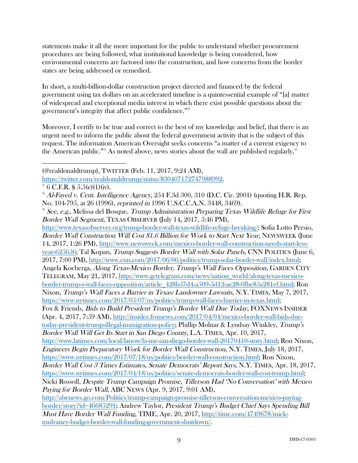statements make it all the more important for the public to understand whether procurement procedures are being followed, what institutional knowledge is being considered, how environmental concerns are factored into the construction, and how concerns from the border states are being addressed or remedied.

In short, a multi-billion-dollar construction project directed and financed by the federal government using tax dollars on an accelerated timeline is a quintessential example of "[a] matter of widespread and exceptional media interest in which there exist possible questions about the government's integrity that affect public confidence."<sup>31</sup>

Moreover, I certify to be true and correct to the best of my knowledge and belief, that there is an urgent need to inform the public about the federal government activity that is the subject of this request. The information American Oversight seeks concerns "a matter of a current exigency to the American public."<sup>32</sup> As noted above, news stories about the wall are published regularly,<sup>33</sup>

 (@realdonaldtrump), TWITTER (Feb. 11, 2017, 9:24 AM),

http://www.texasobserver.org/trump-border-wall-texas-wildlife-refuge-breaking/; Sofia Lotto Persio, Border Wall Construction Will Cost \$1.6 Billion for Work to Start Next Year, NEWSWEEK (June 14, 2017, 1:26 PM), http://www.newsweek.com/mexico-border-wall-construction-needs-start-lessyear-625656; Tal Kopan, Trump Suggests Border Wall with Solar Panels, CNN POLITICS (June 6, 2017, 7:00 PM), http://www.cnn.com/2017/06/06/politics/trump-solar-border-wall/index.html; Angela Kocherga, Along Texas-Mexico Border, Trump's Wall Faces Opposition, GARDEN CITY TELEGRAM, May 21, 2017, http://www.gctelegram.com/news/nation\_world/along-texas-mexicoborder-trump-s-wall-faces-opposition/article\_428b57d4-a509-5d12-ae28-0fbe85a281ef.html; Ron Nixon, Trump's Wall Faces a Barrier in Texas: Landowner Lawsuits, N.Y. TIMES, May 7, 2017, https://www.nytimes.com/2017/05/07/us/politics/trump-wall-faces-barrier-in-texas.html; Fox & Friends, Bids to Build President Trump's Border Wall Due Today, FOXNEWS INSIDER (Apr. 4, 2017, 7:59 AM), http://insider.foxnews.com/2017/04/04/mexico-border-wall-bids-duetoday-president-trump-illegal-immigration-policy; Phillip Molnar & Lyndsay Winkley, Trump's Border Wall Will Get Its Start in San Diego County, L.A. TIMES, Apr. 10, 2017, http://www.latimes.com/local/lanow/la-me-san-diego-border-wall-20170410-story.html; Ron Nixon, Engineers Begin Preparatory Work for Border Wall Construction, N.Y. TIMES, July 18, 2017, https://www.nytimes.com/2017/07/18/us/politics/border-wall-construction.html; Ron Nixon, Border Wall Cost 3 Times Estimates, Senate Democrats' Report Says, N.Y. TIMES, Apr. 18, 2017, https://www.nytimes.com/2017/04/18/us/politics/senate-democrats-border-wall-cost-trump.html; Nicki Rossoll, Despite Trump Campaign Promise, Tillerson Had 'No Conversation' with Mexico Paying for Border Wall, ABC NEWS (Apr. 9, 2017, 9:01 AM), http://abcnews.go.com/Politics/trump-campaign-promise-tillerson-conversation-mexico-payingborder/story?id=46685291; Andrew Taylor, President Trump's Budget Chief Says Spending Bill Must Have Border Wall Funding, TIME, Apr. 20, 2017, http://time.com/4749678/mickmulvaney-budget-border-wall-funding-government-shutdown/.

https://twitter.com/realdonaldtrump/status/830407172747988992.

 $31\,6$  C.F.R. § 5.5(e)(1)(iv).

 $32$  Al-Fayed v. Cent. Intelligence Agency, 254 F.3d 300, 310 (D.C. Cir. 2001) (quoting H.R. Rep. No. 104-795, at 26 (1996), reprinted in 1996 U.S.C.C.A.N. 3448, 3469).

<sup>&</sup>lt;sup>33</sup> See, e.g., Melissa del Bosque, *Trump Administration Preparing Texas Wildlife Refuge for First* Border Wall Segment, TEXAS OBSERVER (July 14, 2017, 5:46 PM),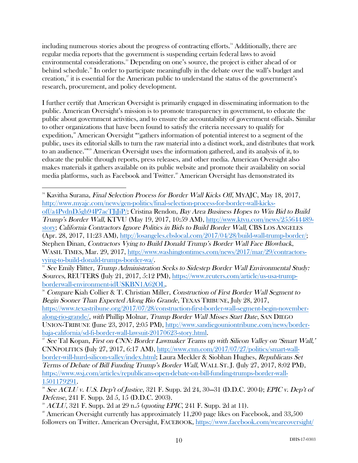including numerous stories about the progress of contracting efforts.<sup>34</sup> Additionally, there are regular media reports that the government is suspending certain federal laws to avoid environmental considerations.<sup>35</sup> Depending on one's source, the project is either ahead of or behind schedule.<sup>36</sup> In order to participate meaningfully in the debate over the wall's budget and creation, $\frac{37}{3}$  it is essential for the American public to understand the status of the government's research, procurement, and policy development.

I further certify that American Oversight is primarily engaged in disseminating information to the public. American Oversight's mission is to promote transparency in government, to educate the public about government activities, and to ensure the accountability of government officials. Similar to other organizations that have been found to satisfy the criteria necessary to qualify for expedition,<sup>38</sup> American Oversight "'gathers information of potential interest to a segment of the public, uses its editorial skills to turn the raw material into a distinct work, and distributes that work to an audience."<sup>399</sup> American Oversight uses the information gathered, and its analysis of it, to educate the public through reports, press releases, and other media. American Oversight also makes materials it gathers available on its public website and promote their availability on social media platforms, such as Facebook and Twitter.<sup>40</sup> American Oversight has demonstrated its

<sup>35</sup> See Emily Flitter, *Trump Administration Seeks to Sidestep Border Wall Environmental Study:* Sources, REUTERS (July 21, 2017, 5:12 PM), https://www.reuters.com/article/us-usa-trumpborderwall-environment-idUSKBN1A62OL.

<sup>36</sup> Compare Kiah Collier & T. Christian Miller, Construction of First Border Wall Segment to Begin Sooner Than Expected Along Rio Grande, TEXAS TRIBUNE, July 28, 2017, https://www.texastribune.org/2017/07/28/construction-first-border-wall-segment-begin-novemberalong-rio-grande/, with Phillip Molnar, Trump Border Wall Misses Start Date, SAN DIEGO UNION-TRIBUNE (June 23, 2017, 2:05 PM), http://www.sandiegouniontribune.com/news/borderbaja-california/sd-fi-border-wall-lawsuit-20170623-story.html.<br><sup>37</sup> See Tal Kopan, First on CNN: Border Lawmaker Teams up with Silicon Valley on 'Smart Wall,'

CNNPOLITICS (July 27, 2017, 6:17 AM), http://www.cnn.com/2017/07/27/politics/smart-wallborder-will-hurd-silicon-valley/index.html; Laura Meckler & Siobhan Hughes, Republicans Set Terms of Debate of Bill Funding Trump's Border Wall, WALL ST. J. (July 27, 2017, 8:02 PM), https://www.wsj.com/articles/republicans-open-debate-on-bill-funding-trumps-border-wall-

 <sup>34</sup> Kavitha Surana, Final Selection Process for Border Wall Kicks Off, MYAJC, May 18, 2017, http://www.myajc.com/news/gen-politics/final-selection-process-for-border-wall-kicksoff/a4PvdnD5gb94P7acTJiJiP/; Cristina Rendon, Bay Area Business Hopes to Win Bid to Build Trump's Border Wall, KTVU (May 19, 2017, 10:59 AM), http://www.ktvu.com/news/255644489 story; California Contractors Ignore Politics in Bids to Build Border Wall, CBS LOS ANGELES (Apr. 28, 2017, 11:23 AM), http://losangeles.cbslocal.com/2017/04/28/build-wall-trump-border/; Stephen Dinan, Contractors Vying to Build Donald Trump's Border Wall Face Blowback, WASH. TIMES, Mar. 29, 2017, http://www.washingtontimes.com/news/2017/mar/29/contractorsvying-to-build-donald-trumps-border-wa/.

 $\frac{1501179291}{38}$  See ACLU v. U.S. Dep't of Justice, 321 F. Supp. 2d 24, 30–31 (D.D.C. 2004); EPIC v. Dep't of Defense, 241 F. Supp. 2d 5, 15 (D.D.C. 2003).

<sup>&</sup>lt;sup>39</sup> ACLU, 321 F. Supp. 2d at 29 n.5 (quoting EPIC, 241 F. Supp. 2d at 11).

 $\degree$  American Oversight currently has approximately 11,200 page likes on Facebook, and 33,500 followers on Twitter. American Oversight, FACEBOOK, https://www.facebook.com/weareoversight/